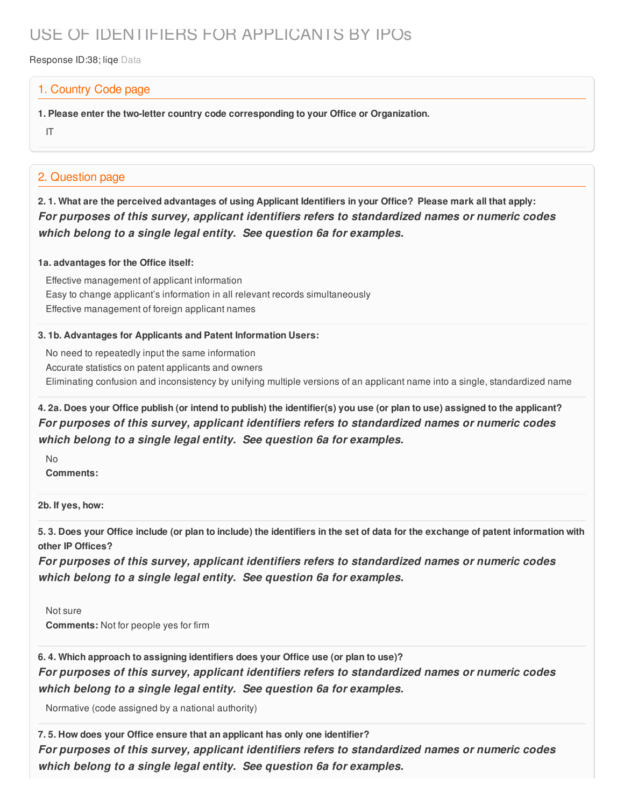# USE OF IDENTIFIERS FOR APPLICANTS BY IPOs

Response ID:38; lige Data

### 1. Country Code page

**1. Please enter the two-letter country code corresponding to your Office or Organization.**

IT

## 2. Question page

2.1. What are the perceived advantages of using Applicant Identifiers in your Office? Please mark all that apply: *For purposes of this survey, applicant identifiers refers to standardized names or numeric codes which belong to a single legal entity. See question 6a for examples.*

#### **1a. advantages for the Office itself:**

Effective management of applicant information Easy to change applicant's information in all relevant records simultaneously Effective management of foreign applicant names

#### **3. 1b. Advantages for Applicants and Patent Information Users:**

No need to repeatedly input the same information Accurate statistics on patent applicants and owners Eliminating confusion and inconsistency by unifying multiple versions of an applicant name into a single, standardized name

4. 2a. Does your Office publish (or intend to publish) the identifier(s) you use (or plan to use) assigned to the applicant? *For purposes of this survey, applicant identifiers refers to standardized names or numeric codes which belong to a single legal entity. See question 6a for examples.*

No

**Comments:**

**2b. If yes, how:**

5.3. Does your Office include (or plan to include) the identifiers in the set of data for the exchange of patent information with **other IP Offices?**

*For purposes of this survey, applicant identifiers refers to standardized names or numeric codes which belong to a single legal entity. See question 6a for examples.*

Not sure **Comments:** Not for people yes for firm

**6. 4. Which approach to assigning identifiers does your Office use (or plan to use)?**

*For purposes of this survey, applicant identifiers refers to standardized names or numeric codes which belong to a single legal entity. See question 6a for examples.*

Normative (code assigned by a national authority)

**7. 5. How does your Office ensure that an applicant has only one identifier?** *For purposes of this survey, applicant identifiers refers to standardized names or numeric codes which belong to a single legal entity. See question 6a for examples.*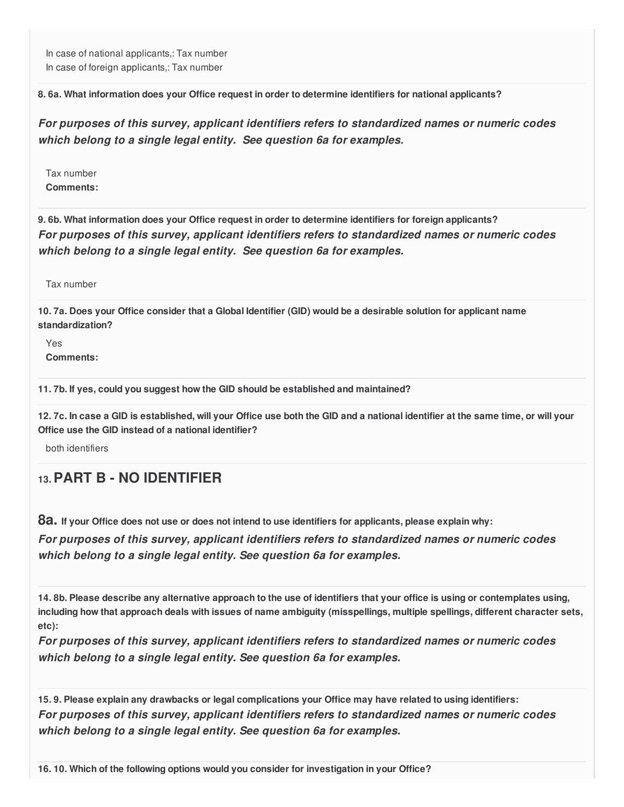In case of national applicants,: Tax number In case of foreign applicants,: Tax number

**8. 6a. What information does your Office request in order to determine identifiers for national applicants?**

*For purposes of this survey, applicant identifiers refers to standardized names or numeric codes which belong to a single legal entity. See question 6a for examples.*

Tax number **Comments:**

**9. 6b. What information does your Office request in order to determine identifiers for foreign applicants?** *For purposes of this survey, applicant identifiers refers to standardized names or numeric codes which belong to a single legal entity. See question 6a for examples.*

Tax number

10.7a. Does your Office consider that a Global Identifier (GID) would be a desirable solution for applicant name **standardization?**

Yes **Comments:**

**11. 7b. If yes, could you suggest how the GID should be established and maintained?**

12.7c. In case a GID is established, will your Office use both the GID and a national identifier at the same time, or will your **Office use the GID instead of a national identifier?**

both identifiers

# **13.PART B - NO IDENTIFIER**

8a. If your Office does not use or does not intend to use identifiers for applicants, please explain why:

*For purposes of this survey, applicant identifiers refers to standardized names or numeric codes which belong to a single legal entity. See question 6a for examples.*

14.8b. Please describe any alternative approach to the use of identifiers that your office is using or contemplates using, including how that approach deals with issues of name ambiguity (misspellings, multiple spellings, different character sets, **etc):**

*For purposes of this survey, applicant identifiers refers to standardized names or numeric codes which belong to a single legal entity. See question 6a for examples.*

15.9. Please explain any drawbacks or legal complications your Office may have related to using identifiers: *For purposes of this survey, applicant identifiers refers to standardized names or numeric codes which belong to a single legal entity. See question 6a for examples.*